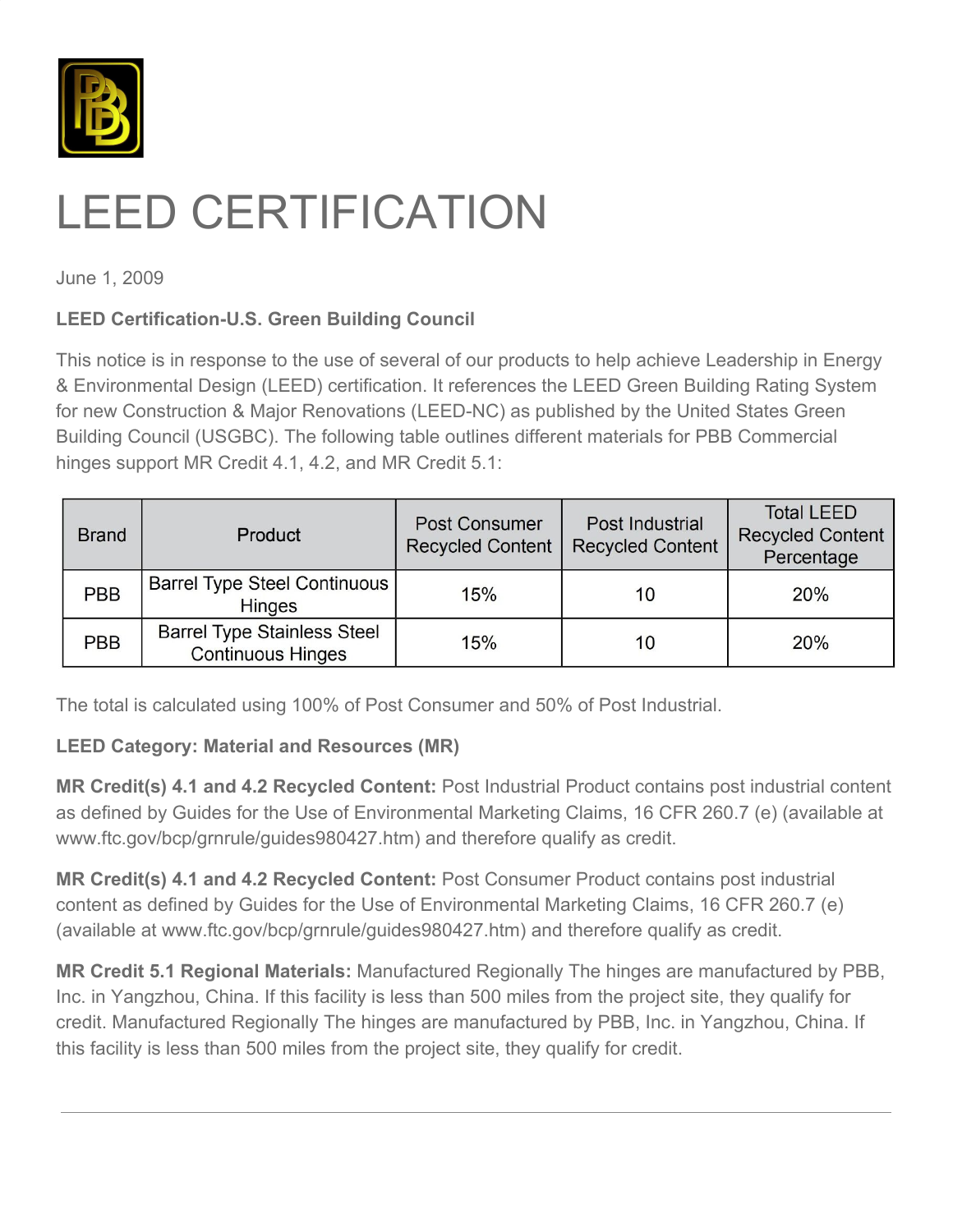

# LEED CERTIFICATION

June 1, 2009

## **LEED Certification-U.S. Green Building Council**

This notice is in response to the use of several of our products to help achieve Leadership in Energy & Environmental Design (LEED) certification. It references the LEED Green Building Rating System for new Construction & Major Renovations (LEED-NC) as published by the United States Green Building Council (USGBC). The following table outlines different materials for PBB Commercial hinges support MR Credit 4.1, 4.2, and MR Credit 5.1:

| <b>Brand</b> | Product                                                        | Post Consumer<br><b>Recycled Content</b> | Post Industrial<br><b>Recycled Content</b> | <b>Total LEED</b><br><b>Recycled Content</b><br>Percentage |
|--------------|----------------------------------------------------------------|------------------------------------------|--------------------------------------------|------------------------------------------------------------|
| PBB          | <b>Barrel Type Steel Continuous</b><br><b>Hinges</b>           | 15%                                      | 10                                         | 20%                                                        |
| PBB          | <b>Barrel Type Stainless Steel</b><br><b>Continuous Hinges</b> | 15%                                      | 10                                         | 20%                                                        |

The total is calculated using 100% of Post Consumer and 50% of Post Industrial.

## **LEED Category: Material and Resources (MR)**

**MR Credit(s) 4.1 and 4.2 Recycled Content:** Post Industrial Product contains post industrial content as defined by Guides for the Use of Environmental Marketing Claims, 16 CFR 260.7 (e) (available at www.ftc.gov/bcp/grnrule/guides980427.htm) and therefore qualify as credit.

**MR Credit(s) 4.1 and 4.2 Recycled Content:** Post Consumer Product contains post industrial content as defined by Guides for the Use of Environmental Marketing Claims, 16 CFR 260.7 (e) (available at www.ftc.gov/bcp/grnrule/guides980427.htm) and therefore qualify as credit.

**MR Credit 5.1 Regional Materials:** Manufactured Regionally The hinges are manufactured by PBB, Inc. in Yangzhou, China. If this facility is less than 500 miles from the project site, they qualify for credit. Manufactured Regionally The hinges are manufactured by PBB, Inc. in Yangzhou, China. If this facility is less than 500 miles from the project site, they qualify for credit.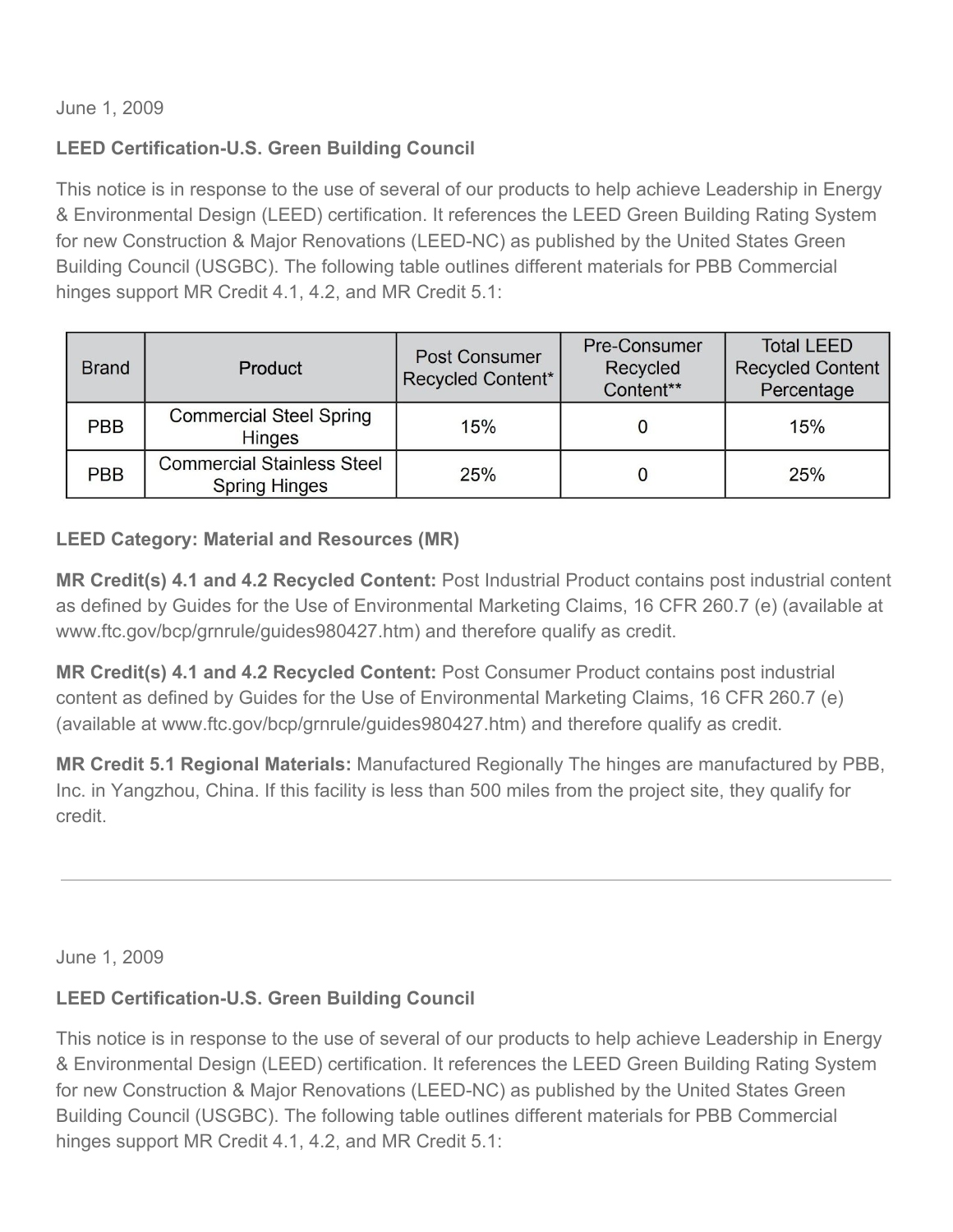# **LEED Certification-U.S. Green Building Council**

This notice is in response to the use of several of our products to help achieve Leadership in Energy & Environmental Design (LEED) certification. It references the LEED Green Building Rating System for new Construction & Major Renovations (LEED-NC) as published by the United States Green Building Council (USGBC). The following table outlines different materials for PBB Commercial hinges support MR Credit 4.1, 4.2, and MR Credit 5.1:

| <b>Brand</b> | Product                                                   | <b>Post Consumer</b><br>Recycled Content* | Pre-Consumer<br>Recycled<br>Content** | <b>Total LEED</b><br><b>Recycled Content</b><br>Percentage |
|--------------|-----------------------------------------------------------|-------------------------------------------|---------------------------------------|------------------------------------------------------------|
| <b>PBB</b>   | <b>Commercial Steel Spring</b><br>Hinges                  | 15%                                       |                                       | 15%                                                        |
| <b>PBB</b>   | <b>Commercial Stainless Steel</b><br><b>Spring Hinges</b> | 25%                                       |                                       | 25%                                                        |

#### **LEED Category: Material and Resources (MR)**

**MR Credit(s) 4.1 and 4.2 Recycled Content:** Post Industrial Product contains post industrial content as defined by Guides for the Use of Environmental Marketing Claims, 16 CFR 260.7 (e) (available at www.ftc.gov/bcp/grnrule/guides980427.htm) and therefore qualify as credit.

**MR Credit(s) 4.1 and 4.2 Recycled Content:** Post Consumer Product contains post industrial content as defined by Guides for the Use of Environmental Marketing Claims, 16 CFR 260.7 (e) (available at www.ftc.gov/bcp/grnrule/guides980427.htm) and therefore qualify as credit.

**MR Credit 5.1 Regional Materials:** Manufactured Regionally The hinges are manufactured by PBB, Inc. in Yangzhou, China. If this facility is less than 500 miles from the project site, they qualify for credit.

June 1, 2009

## **LEED Certification-U.S. Green Building Council**

This notice is in response to the use of several of our products to help achieve Leadership in Energy & Environmental Design (LEED) certification. It references the LEED Green Building Rating System for new Construction & Major Renovations (LEED-NC) as published by the United States Green Building Council (USGBC). The following table outlines different materials for PBB Commercial hinges support MR Credit 4.1, 4.2, and MR Credit 5.1: